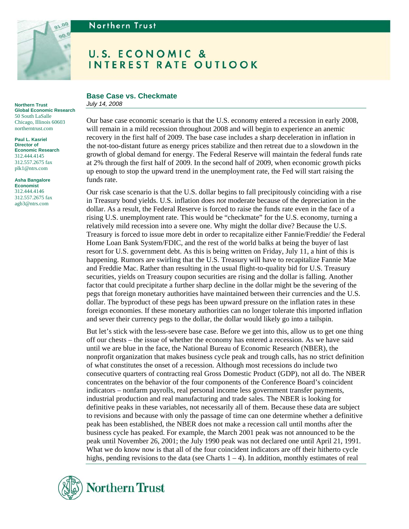

# Northern Trust

**Northern Trust Global Economic Research**  50 South LaSalle Chicago, Illinois 60603 northerntrust.com

**Paul L. Kasriel Director of Economic Research**  312.444.4145 312.557.2675 fax plk1@ntrs.com

**Asha Bangalore Economist**  312.444.4146 312.557.2675 fax

agb3@ntrs.com

# **U.S. ECONOMIC & INTEREST RATE OUTLOOK**

# **Base Case vs. Checkmate**

*July 14, 2008* 

Our base case economic scenario is that the U.S. economy entered a recession in early 2008, will remain in a mild recession throughout 2008 and will begin to experience an anemic recovery in the first half of 2009. The base case includes a sharp deceleration in inflation in the not-too-distant future as energy prices stabilize and then retreat due to a slowdown in the growth of global demand for energy. The Federal Reserve will maintain the federal funds rate at 2% through the first half of 2009. In the second half of 2009, when economic growth picks up enough to stop the upward trend in the unemployment rate, the Fed will start raising the funds rate.

Our risk case scenario is that the U.S. dollar begins to fall precipitously coinciding with a rise in Treasury bond yields. U.S. inflation does *not* moderate because of the depreciation in the dollar. As a result, the Federal Reserve is forced to raise the funds rate even in the face of a rising U.S. unemployment rate. This would be "checkmate" for the U.S. economy, turning a relatively mild recession into a severe one. Why might the dollar dive? Because the U.S. Treasury is forced to issue more debt in order to recapitalize either Fannie/Freddie/ the Federal Home Loan Bank System/FDIC, and the rest of the world balks at being the buyer of last resort for U.S. government debt. As this is being written on Friday, July 11, a hint of this is happening. Rumors are swirling that the U.S. Treasury will have to recapitalize Fannie Mae and Freddie Mac. Rather than resulting in the usual flight-to-quality bid for U.S. Treasury securities, yields on Treasury coupon securities are rising and the dollar is falling. Another factor that could precipitate a further sharp decline in the dollar might be the severing of the pegs that foreign monetary authorities have maintained between their currencies and the U.S. dollar. The byproduct of these pegs has been upward pressure on the inflation rates in these foreign economies. If these monetary authorities can no longer tolerate this imported inflation and sever their currency pegs to the dollar, the dollar would likely go into a tailspin.

But let's stick with the less-severe base case. Before we get into this, allow us to get one thing off our chests – the issue of whether the economy has entered a recession. As we have said until we are blue in the face, the National Bureau of Economic Research (NBER), the nonprofit organization that makes business cycle peak and trough calls, has no strict definition of what constitutes the onset of a recession. Although most recessions do include two consecutive quarters of contracting real Gross Domestic Product (GDP), not all do. The NBER concentrates on the behavior of the four components of the Conference Board's coincident indicators – nonfarm payrolls, real personal income less government transfer payments, industrial production and real manufacturing and trade sales. The NBER is looking for definitive peaks in these variables, not necessarily all of them. Because these data are subject to revisions and because with only the passage of time can one determine whether a definitive peak has been established, the NBER does not make a recession call until months after the business cycle has peaked. For example, the March 2001 peak was not announced to be the peak until November 26, 2001; the July 1990 peak was not declared one until April 21, 1991. What we do know now is that all of the four coincident indicators are off their hitherto cycle highs, pending revisions to the data (see Charts  $1 - 4$ ). In addition, monthly estimates of real

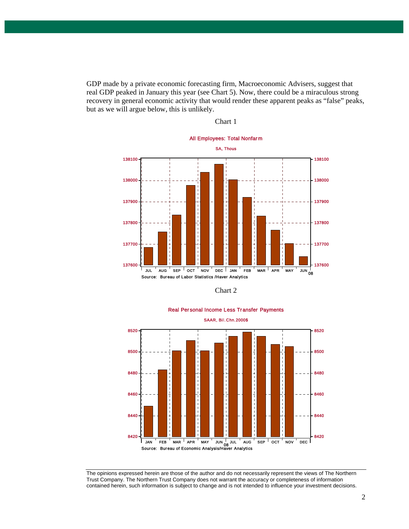GDP made by a private economic forecasting firm, Macroeconomic Advisers, suggest that real GDP peaked in January this year (see Chart 5). Now, there could be a miraculous strong recovery in general economic activity that would render these apparent peaks as "false" peaks, but as we will argue below, this is unlikely.





Chart 2



Real Personal Income Less Transfer Payments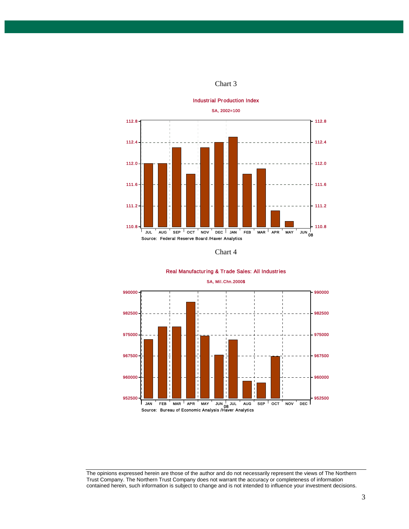



#### Real Manufacturing & Trade Sales: All Industries



The opinions expressed herein are those of the author and do not necessarily represent the views of The Northern Trust Company. The Northern Trust Company does not warrant the accuracy or completeness of information contained herein, such information is subject to change and is not intended to influence your investment decisions.

3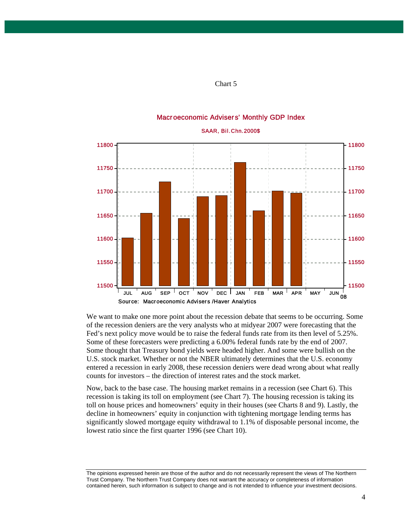

### Macroeconomic Advisers' Monthly GDP Index

We want to make one more point about the recession debate that seems to be occurring. Some of the recession deniers are the very analysts who at midyear 2007 were forecasting that the Fed's next policy move would be to raise the federal funds rate from its then level of 5.25%. Some of these forecasters were predicting a 6.00% federal funds rate by the end of 2007. Some thought that Treasury bond yields were headed higher. And some were bullish on the U.S. stock market. Whether or not the NBER ultimately determines that the U.S. economy entered a recession in early 2008, these recession deniers were dead wrong about what really counts for investors – the direction of interest rates and the stock market.

Now, back to the base case. The housing market remains in a recession (see Chart 6). This recession is taking its toll on employment (see Chart 7). The housing recession is taking its toll on house prices and homeowners' equity in their houses (see Charts 8 and 9). Lastly, the decline in homeowners' equity in conjunction with tightening mortgage lending terms has significantly slowed mortgage equity withdrawal to 1.1% of disposable personal income, the lowest ratio since the first quarter 1996 (see Chart 10).

The opinions expressed herein are those of the author and do not necessarily represent the views of The Northern Trust Company. The Northern Trust Company does not warrant the accuracy or completeness of information contained herein, such information is subject to change and is not intended to influence your investment decisions.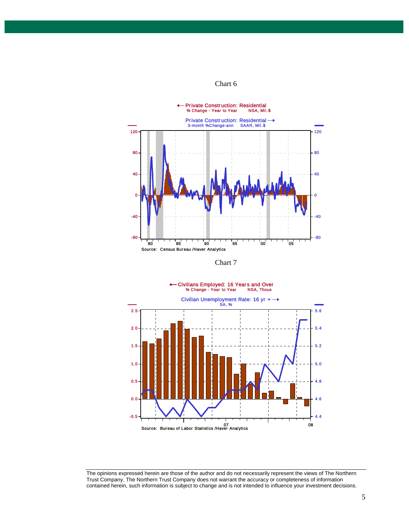





The opinions expressed herein are those of the author and do not necessarily represent the views of The Northern Trust Company. The Northern Trust Company does not warrant the accuracy or completeness of information contained herein, such information is subject to change and is not intended to influence your investment decisions.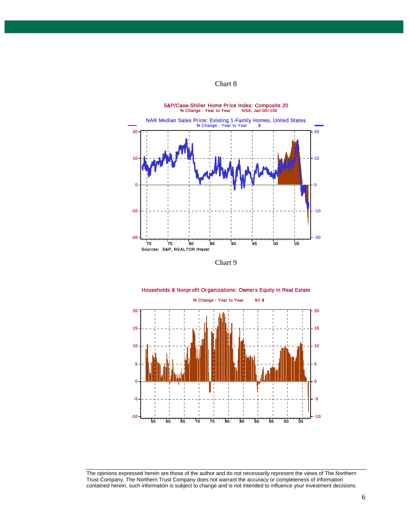

Chart 9



Households & Nonprofit Organizations: Owners Equity in Real Estate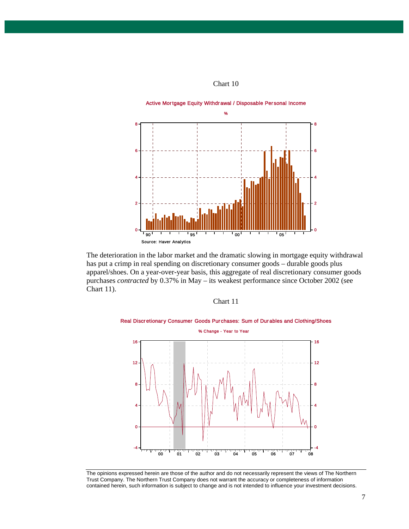

The deterioration in the labor market and the dramatic slowing in mortgage equity withdrawal has put a crimp in real spending on discretionary consumer goods – durable goods plus apparel/shoes. On a year-over-year basis, this aggregate of real discretionary consumer goods purchases *contracted* by 0.37% in May – its weakest performance since October 2002 (see Chart 11).





The opinions expressed herein are those of the author and do not necessarily represent the views of The Northern Trust Company. The Northern Trust Company does not warrant the accuracy or completeness of information contained herein, such information is subject to change and is not intended to influence your investment decisions.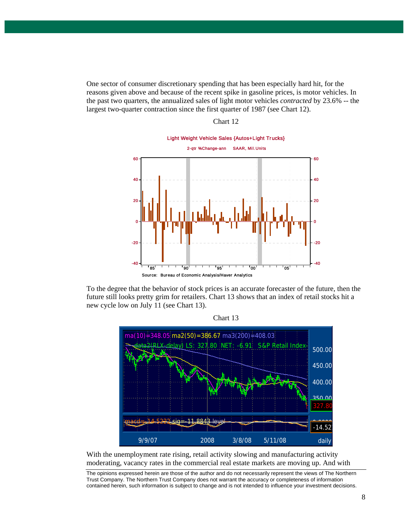One sector of consumer discretionary spending that has been especially hard hit, for the reasons given above and because of the recent spike in gasoline prices, is motor vehicles. In the past two quarters, the annualized sales of light motor vehicles *contracted* by 23.6% -- the largest two-quarter contraction since the first quarter of 1987 (see Chart 12).

# Light Weight Vehicle Sales {Autos+Light Trucks} 2-qtr %Change-ann SAAR, Mil.Units 85 90 90 95 00 00 05 Source: Bureau of Economic Analysis/Haver Analytics 60 40 20 0 -20 -40 60 40 20 0 -20 -40

To the degree that the behavior of stock prices is an accurate forecaster of the future, then the future still looks pretty grim for retailers. Chart 13 shows that an index of retail stocks hit a new cycle low on July 11 (see Chart 13).



With the unemployment rate rising, retail activity slowing and manufacturing activity moderating, vacancy rates in the commercial real estate markets are moving up. And with

The opinions expressed herein are those of the author and do not necessarily represent the views of The Northern Trust Company. The Northern Trust Company does not warrant the accuracy or completeness of information contained herein, such information is subject to change and is not intended to influence your investment decisions.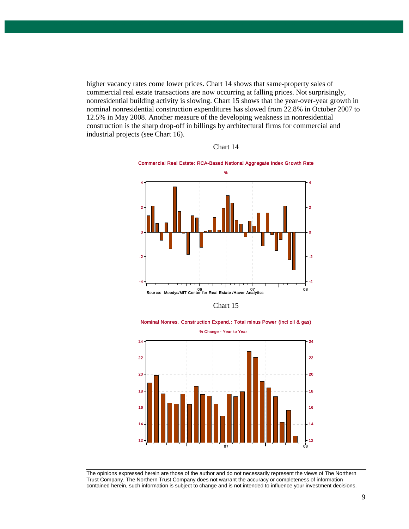higher vacancy rates come lower prices. Chart 14 shows that same-property sales of commercial real estate transactions are now occurring at falling prices. Not surprisingly, nonresidential building activity is slowing. Chart 15 shows that the year-over-year growth in nominal nonresidential construction expenditures has slowed from 22.8% in October 2007 to 12.5% in May 2008. Another measure of the developing weakness in nonresidential construction is the sharp drop-off in billings by architectural firms for commercial and industrial projects (see Chart 16).



Chart 14

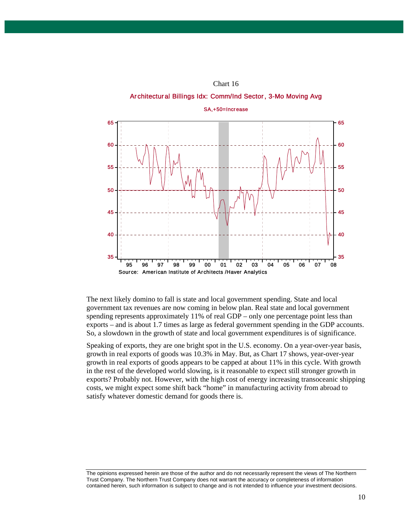

The next likely domino to fall is state and local government spending. State and local government tax revenues are now coming in below plan. Real state and local government spending represents approximately 11% of real GDP – only one percentage point less than exports – and is about 1.7 times as large as federal government spending in the GDP accounts. So, a slowdown in the growth of state and local government expenditures is of significance.

Speaking of exports, they are one bright spot in the U.S. economy. On a year-over-year basis, growth in real exports of goods was 10.3% in May. But, as Chart 17 shows, year-over-year growth in real exports of goods appears to be capped at about 11% in this cycle. With growth in the rest of the developed world slowing, is it reasonable to expect still stronger growth in exports? Probably not. However, with the high cost of energy increasing transoceanic shipping costs, we might expect some shift back "home" in manufacturing activity from abroad to satisfy whatever domestic demand for goods there is.

The opinions expressed herein are those of the author and do not necessarily represent the views of The Northern Trust Company. The Northern Trust Company does not warrant the accuracy or completeness of information contained herein, such information is subject to change and is not intended to influence your investment decisions.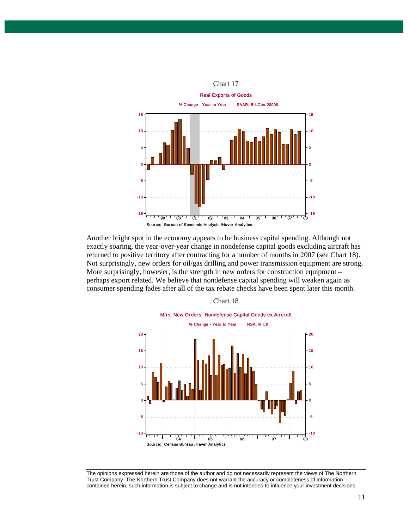

Another bright spot in the economy appears to be business capital spending. Although not exactly soaring, the year-over-year change in nondefense capital goods excluding aircraft has returned to positive territory after contracting for a number of months in 2007 (see Chart 18). Not surprisingly, new orders for oil/gas drilling and power transmission equipment are strong. More surprisingly, however, is the strength in new orders for construction equipment – perhaps export related. We believe that nondefense capital spending will weaken again as consumer spending fades after all of the tax rebate checks have been spent later this month.



The opinions expressed herein are those of the author and do not necessarily represent the views of The Northern Trust Company. The Northern Trust Company does not warrant the accuracy or completeness of information contained herein, such information is subject to change and is not intended to influence your investment decisions.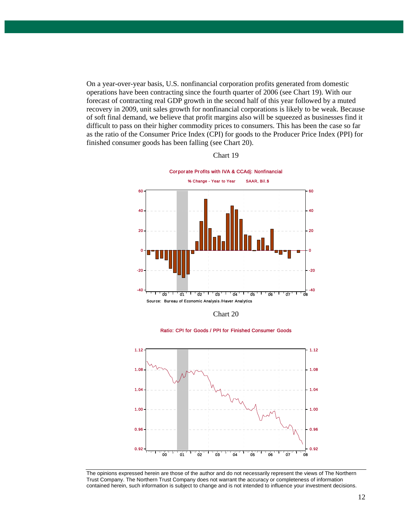On a year-over-year basis, U.S. nonfinancial corporation profits generated from domestic operations have been contracting since the fourth quarter of 2006 (see Chart 19). With our forecast of contracting real GDP growth in the second half of this year followed by a muted recovery in 2009, unit sales growth for nonfinancial corporations is likely to be weak. Because of soft final demand, we believe that profit margins also will be squeezed as businesses find it difficult to pass on their higher commodity prices to consumers. This has been the case so far as the ratio of the Consumer Price Index (CPI) for goods to the Producer Price Index (PPI) for finished consumer goods has been falling (see Chart 20).



Chart 19

Chart 20

Ratio: CPI for Goods / PPI for Finished Consumer Goods



The opinions expressed herein are those of the author and do not necessarily represent the views of The Northern Trust Company. The Northern Trust Company does not warrant the accuracy or completeness of information contained herein, such information is subject to change and is not intended to influence your investment decisions.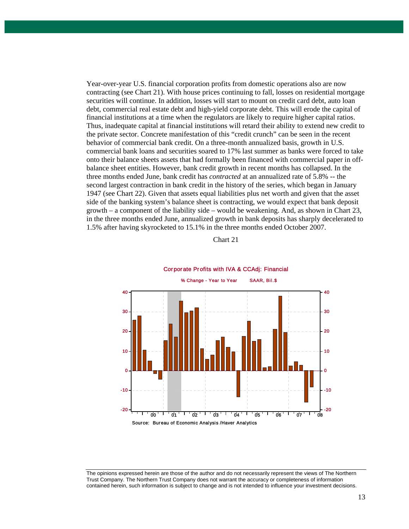Year-over-year U.S. financial corporation profits from domestic operations also are now contracting (see Chart 21). With house prices continuing to fall, losses on residential mortgage securities will continue. In addition, losses will start to mount on credit card debt, auto loan debt, commercial real estate debt and high-yield corporate debt. This will erode the capital of financial institutions at a time when the regulators are likely to require higher capital ratios. Thus, inadequate capital at financial institutions will retard their ability to extend new credit to the private sector. Concrete manifestation of this "credit crunch" can be seen in the recent behavior of commercial bank credit. On a three-month annualized basis, growth in U.S. commercial bank loans and securities soared to 17% last summer as banks were forced to take onto their balance sheets assets that had formally been financed with commercial paper in offbalance sheet entities. However, bank credit growth in recent months has collapsed. In the three months ended June, bank credit has *contracted* at an annualized rate of 5.8% -- the second largest contraction in bank credit in the history of the series, which began in January 1947 (see Chart 22). Given that assets equal liabilities plus net worth and given that the asset side of the banking system's balance sheet is contracting, we would expect that bank deposit growth – a component of the liability side – would be weakening. And, as shown in Chart 23, in the three months ended June, annualized growth in bank deposits has sharply decelerated to 1.5% after having skyrocketed to 15.1% in the three months ended October 2007.







The opinions expressed herein are those of the author and do not necessarily represent the views of The Northern Trust Company. The Northern Trust Company does not warrant the accuracy or completeness of information contained herein, such information is subject to change and is not intended to influence your investment decisions.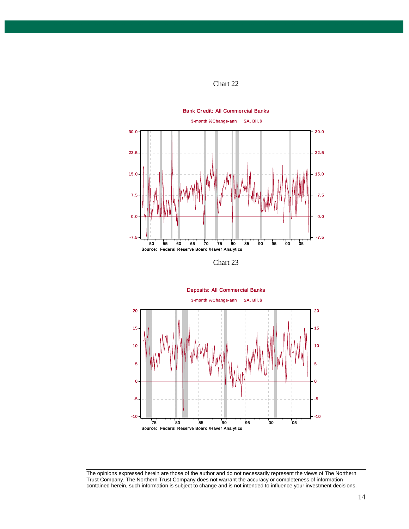



Chart 23



The opinions expressed herein are those of the author and do not necessarily represent the views of The Northern Trust Company. The Northern Trust Company does not warrant the accuracy or completeness of information contained herein, such information is subject to change and is not intended to influence your investment decisions.

14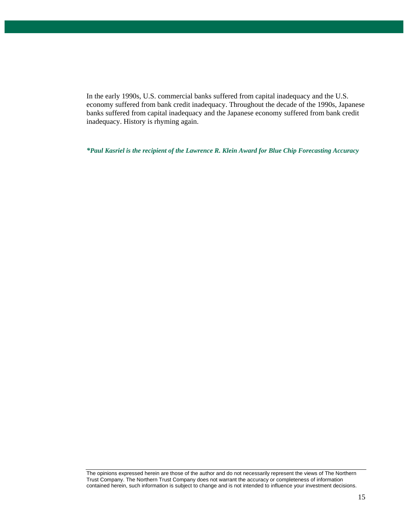In the early 1990s, U.S. commercial banks suffered from capital inadequacy and the U.S. economy suffered from bank credit inadequacy. Throughout the decade of the 1990s, Japanese banks suffered from capital inadequacy and the Japanese economy suffered from bank credit inadequacy. History is rhyming again.

*\*Paul Kasriel is the recipient of the Lawrence R. Klein Award for Blue Chip Forecasting Accuracy*

The opinions expressed herein are those of the author and do not necessarily represent the views of The Northern Trust Company. The Northern Trust Company does not warrant the accuracy or completeness of information contained herein, such information is subject to change and is not intended to influence your investment decisions.